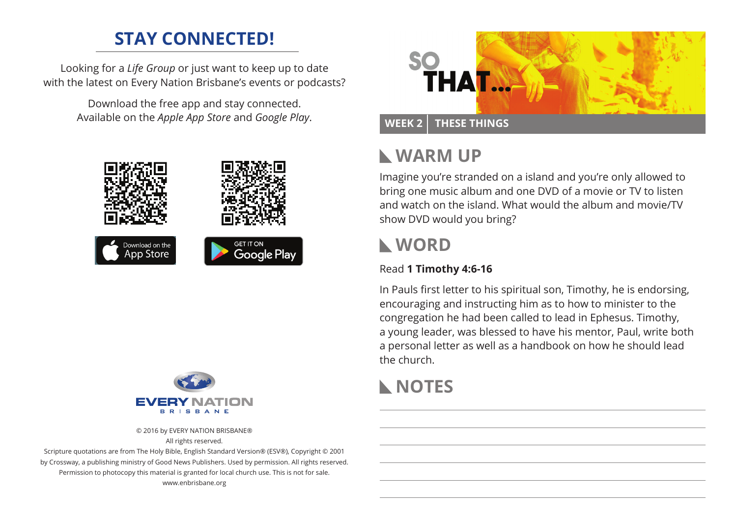### **STAY CONNECTED!**

Looking for a *Life Group* or just want to keep up to date with the latest on Every Nation Brisbane's events or podcasts?

> Download the free app and stay connected. Available on the *Apple App Store* and *Google Play*.





© 2016 by EVERY NATION BRISBANE® All rights reserved.

Scripture quotations are from The Holy Bible, English Standard Version® (ESV®), Copyright © 2001 by Crossway, a publishing ministry of Good News Publishers. Used by permission. All rights reserved. Permission to photocopy this material is granted for local church use. This is not for sale. www.enbrisbane.org



# **Warm Up**

Imagine you're stranded on a island and you're only allowed to bring one music album and one DVD of a movie or TV to listen and watch on the island. What would the album and movie/TV show DVD would you bring?

## **WORD**

#### Read **1 Timothy 4:6-16**

In Pauls first letter to his spiritual son, Timothy, he is endorsing, encouraging and instructing him as to how to minister to the congregation he had been called to lead in Ephesus. Timothy, a young leader, was blessed to have his mentor, Paul, write both a personal letter as well as a handbook on how he should lead the church.

# **NOTES**